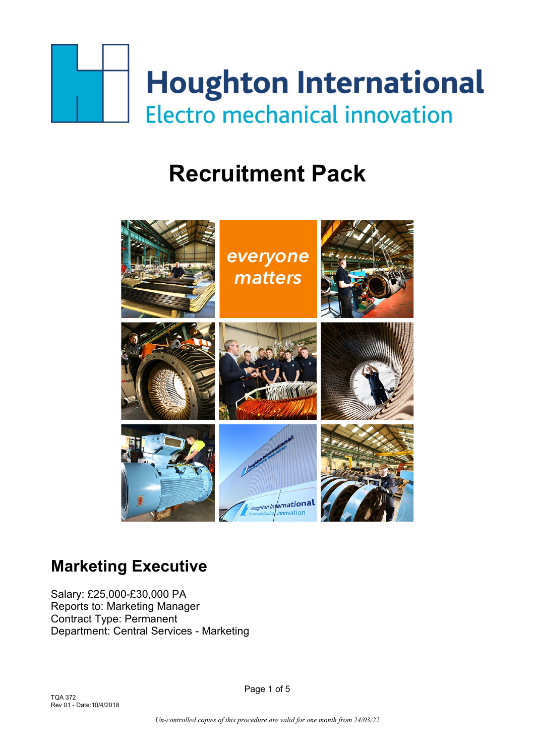

# **Recruitment Pack**



## **Marketing Executive**

Salary: £25,000-£30,000 PA Reports to: Marketing Manager Contract Type: Permanent Department: Central Services - Marketing

TQA 372 Rev 01 - Date:10/4/2018 Page 1 of 5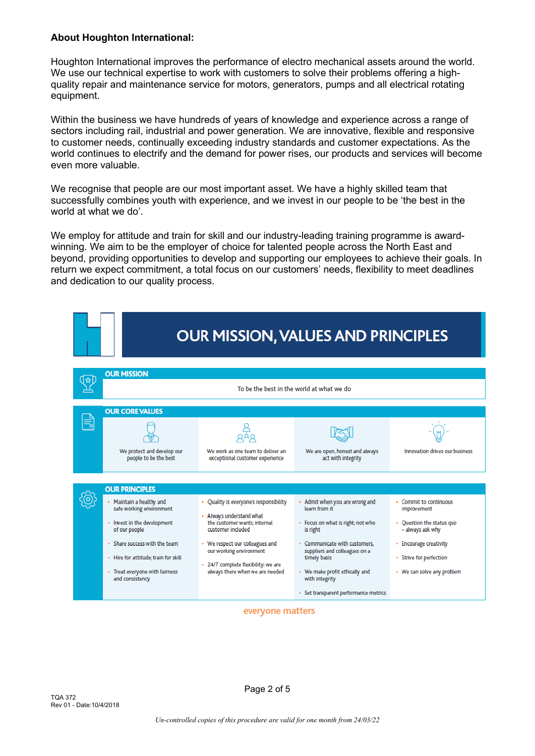#### **About Houghton International:**

Houghton International improves the performance of electro mechanical assets around the world. We use our technical expertise to work with customers to solve their problems offering a highquality repair and maintenance service for motors, generators, pumps and all electrical rotating equipment.

Within the business we have hundreds of years of knowledge and experience across a range of sectors including rail, industrial and power generation. We are innovative, flexible and responsive to customer needs, continually exceeding industry standards and customer expectations. As the world continues to electrify and the demand for power rises, our products and services will become even more valuable.

We recognise that people are our most important asset. We have a highly skilled team that successfully combines youth with experience, and we invest in our people to be 'the best in the world at what we do'.

We employ for attitude and train for skill and our industry-leading training programme is awardwinning. We aim to be the employer of choice for talented people across the North East and beyond, providing opportunities to develop and supporting our employees to achieve their goals. In return we expect commitment, a total focus on our customers' needs, flexibility to meet deadlines and dedication to our quality process.



#### everyone matters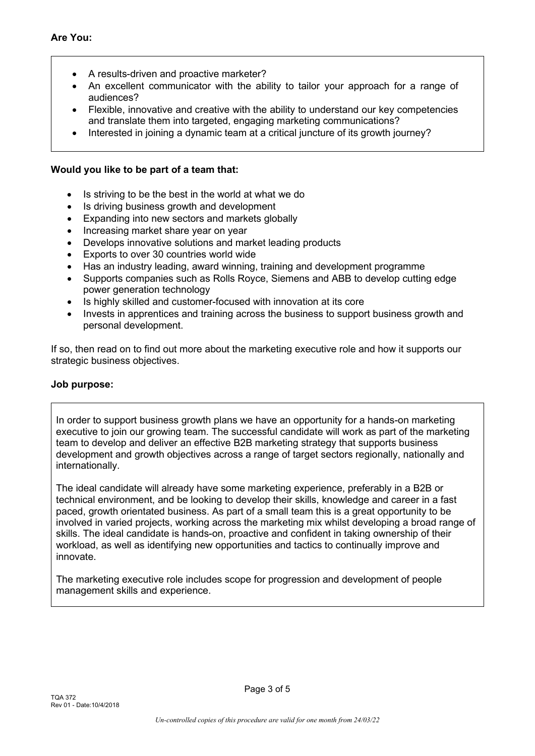- A results-driven and proactive marketer?
- An excellent communicator with the ability to tailor your approach for a range of audiences?
- Flexible, innovative and creative with the ability to understand our key competencies and translate them into targeted, engaging marketing communications?
- Interested in joining a dynamic team at a critical juncture of its growth journey?

#### **Would you like to be part of a team that:**

- Is striving to be the best in the world at what we do
- Is driving business growth and development
- Expanding into new sectors and markets globally
- Increasing market share year on year
- Develops innovative solutions and market leading products
- Exports to over 30 countries world wide
- Has an industry leading, award winning, training and development programme
- Supports companies such as Rolls Royce, Siemens and ABB to develop cutting edge power generation technology
- Is highly skilled and customer-focused with innovation at its core
- Invests in apprentices and training across the business to support business growth and personal development.

If so, then read on to find out more about the marketing executive role and how it supports our strategic business objectives.

#### **Job purpose:**

In order to support business growth plans we have an opportunity for a hands-on marketing executive to join our growing team. The successful candidate will work as part of the marketing team to develop and deliver an effective B2B marketing strategy that supports business development and growth objectives across a range of target sectors regionally, nationally and internationally.

The ideal candidate will already have some marketing experience, preferably in a B2B or technical environment, and be looking to develop their skills, knowledge and career in a fast paced, growth orientated business. As part of a small team this is a great opportunity to be involved in varied projects, working across the marketing mix whilst developing a broad range of skills. The ideal candidate is hands-on, proactive and confident in taking ownership of their workload, as well as identifying new opportunities and tactics to continually improve and innovate.

The marketing executive role includes scope for progression and development of people management skills and experience.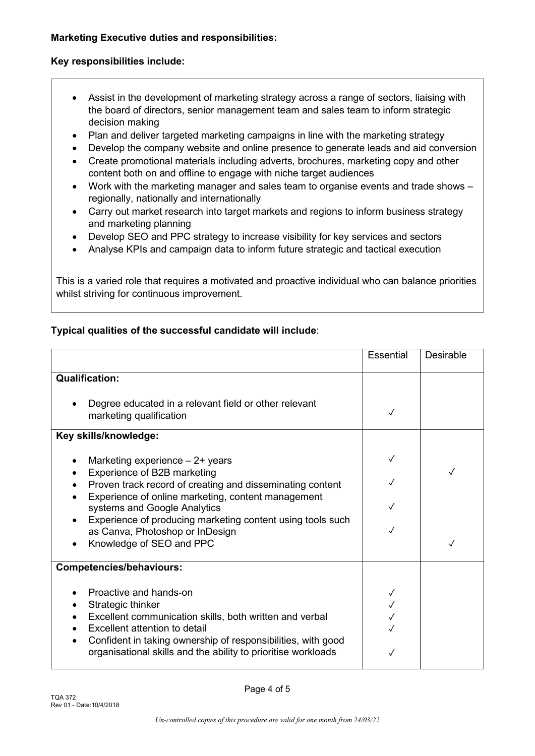#### **Key responsibilities include:**

- Assist in the development of marketing strategy across a range of sectors, liaising with the board of directors, senior management team and sales team to inform strategic decision making
- Plan and deliver targeted marketing campaigns in line with the marketing strategy
- Develop the company website and online presence to generate leads and aid conversion
- Create promotional materials including adverts, brochures, marketing copy and other content both on and offline to engage with niche target audiences
- Work with the marketing manager and sales team to organise events and trade shows regionally, nationally and internationally
- Carry out market research into target markets and regions to inform business strategy and marketing planning
- Develop SEO and PPC strategy to increase visibility for key services and sectors
- Analyse KPIs and campaign data to inform future strategic and tactical execution

This is a varied role that requires a motivated and proactive individual who can balance priorities whilst striving for continuous improvement.

#### **Typical qualities of the successful candidate will include**:

|                                                                                                                               | <b>Essential</b> | <b>Desirable</b> |
|-------------------------------------------------------------------------------------------------------------------------------|------------------|------------------|
| <b>Qualification:</b>                                                                                                         |                  |                  |
| Degree educated in a relevant field or other relevant<br>marketing qualification                                              |                  |                  |
| Key skills/knowledge:                                                                                                         |                  |                  |
| Marketing experience $-2+$ years<br>Experience of B2B marketing                                                               | $\checkmark$     |                  |
| Proven track record of creating and disseminating content<br>Experience of online marketing, content management               |                  |                  |
| systems and Google Analytics<br>Experience of producing marketing content using tools such                                    |                  |                  |
| as Canva, Photoshop or InDesign<br>Knowledge of SEO and PPC                                                                   |                  |                  |
| <b>Competencies/behaviours:</b>                                                                                               |                  |                  |
| Proactive and hands-on                                                                                                        |                  |                  |
| Strategic thinker<br>Excellent communication skills, both written and verbal<br>Excellent attention to detail                 |                  |                  |
| Confident in taking ownership of responsibilities, with good<br>organisational skills and the ability to prioritise workloads |                  |                  |

Page 4 of 5